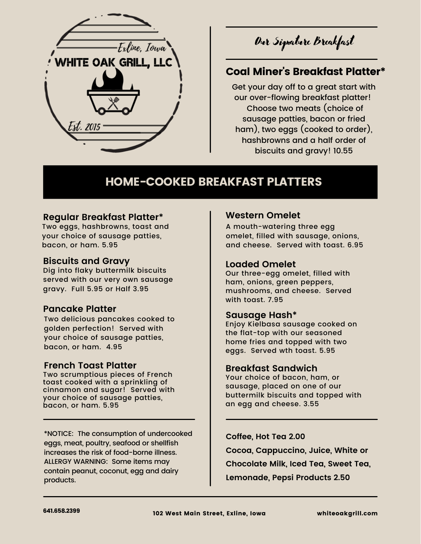

Our Signature Breakfast

## Coal Miner's Breakfast Platter\*

Get your day off to a great start with our over-flowing breakfast platter! Choose two meats (choice of sausage patties, bacon or fried ham), two eggs (cooked to order), hashbrowns and a half order of biscuits and gravy! 10.55

# HOME-COOKED BREAKFAST PLATTERS

### **Regular Breakfast Platter\* Western Omelet**

Two eggs, hashbrowns, toast and your choice of sausage patties, bacon, or ham. 5.95

**Biscuits and Gravy Loaded Omelet** Dig into flaky buttermilk biscuits served with our very own sausage gravy. Full 5.95 or Half 3.95

### **Pancake Platter**

Two delicious pancakes cooked to golden perfection! Served with your choice of sausage patties, bacon, or ham. 4.95

### **French Toast Platter Breakfast Sandwich**

Two scrumptious pieces of French toast cooked with a sprinkling of cinnamon and sugar! Served with your choice of sausage patties, bacon, or ham. 5.95

\*NOTICE: The consumption of undercooked eggs, meat, poultry, seafood or shellfish increases the risk of food-borne illness. ALLERGY WARNING: Some items may contain peanut, coconut, egg and dairy products.

A mouth-watering three egg omelet, filled with sausage, onions, and cheese. Served with toast. 6.95

Our three-egg omelet, filled with ham, onions, green peppers, mushrooms, and cheese. Served with toast. 7.95

### **Sausage Hash\***

Enjoy Kielbasa sausage cooked on the flat-top with our seasoned home fries and topped with two eggs. Served wth toast. 5.95

Your choice of bacon, ham, or sausage, placed on one of our buttermilk biscuits and topped with an egg and cheese. 3.55

**Coffee, Hot Tea 2.00**

**Cocoa, Cappuccino, Juice, White or Chocolate Milk, Iced Tea, Sweet Tea, Lemonade, Pepsi Products 2.50**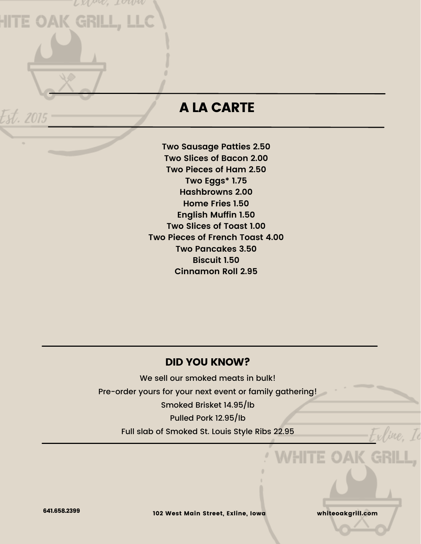# A LA CARTE

LXV<sup>in</sup>e, Iouni

HITE OAK GRILL, LLC

Est. 2015

**Two Sausage Patties 2.50 Two Slices of Bacon 2.00 Two Pieces of Ham 2.50 Two Eggs\* 1.75 Hashbrowns 2.00 Home Fries 1.50 English Muffin 1.50 Two Slices of Toast 1.00 Two Pieces of French Toast 4.00 Two Pancakes 3.50 Biscuit 1.50 Cinnamon Roll 2.95**

## DID YOU KNOW?

We sell our smoked meats in bulk! Pre-order yours for your next event or family gathering! Smoked Brisket 14.95/lb Pulled Pork 12.95/lb Full slab of Smoked St. Louis Style Ribs 22.95

641.658.2399 102 West Main Street, Exline, Iowa whiteoakgrill.com

V<del>H</del>ITE OAK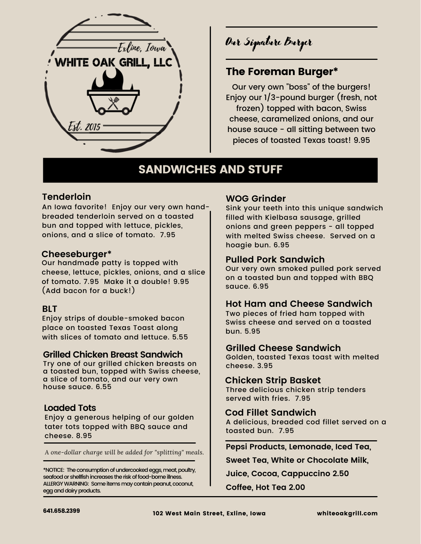

Our Signature Burger

# The Foreman Burger\*

Our very own "boss" of the burgers! Enjoy our 1/3-pound burger (fresh, not frozen) topped with bacon, Swiss cheese, caramelized onions, and our house sauce - all sitting between two pieces of toasted Texas toast! 9.95

# SANDWICHES AND STUFF

An Iowa favorite! Enjoy our very own handbreaded tenderloin served on a toasted bun and topped with lettuce, pickles, onions, and a slice of tomato. 7.95

### **Cheeseburger\***

Our handmade patty is topped with cheese, lettuce, pickles, onions, and a slice of tomato. 7.95 Make it a double! 9.95 (Add bacon for a buck!)

### **BLT**

Enjoy strips of double-smoked bacon place on toasted Texas Toast along with slices of tomato and lettuce. 5.55

### **Grilled Chicken Breast Sandwich**

Try one of our grilled chicken breasts on a toasted bun, topped with Swiss cheese, a slice of tomato, and our very own house sauce. 6.55

### **Loaded Tots**

Enjoy a generous helping of our golden tater tots topped with BBQ sauce and cheese. 8.95

*A one-dollar charge will be added for "splitting" meals.*

\*NOTICE: The consumption of undercooked eggs, meat, poultry, seafood or shellfish increases the risk of food-borne illness. ALLERGY WARNING: Some items may contain peanut, coconut, egg and dairy products.

### **Tenderloin WOG Grinder**

Sink your teeth into this unique sandwich filled with Kielbasa sausage, grilled onions and green peppers - all topped with melted Swiss cheese. Served on a hoagie bun. 6.95

### **Pulled Pork Sandwich**

Our very own smoked pulled pork served on a toasted bun and topped with BBQ sauce. 6.95

### **Hot Ham and Cheese Sandwich**

Two pieces of fried ham topped with Swiss cheese and served on a toasted bun. 5.95

### **Grilled Cheese Sandwich**

Golden, toasted Texas toast with melted cheese. 3.95

### **Chicken Strip Basket**

Three delicious chicken strip tenders served with fries. 7.95

### **Cod Fillet Sandwich**

A delicious, breaded cod fillet served on a toasted bun. 7.95

### **Pepsi Products, Lemonade, Iced Tea,**

**Sweet Tea, White or Chocolate Milk,**

**Juice, Cocoa, Cappuccino 2.50**

**Coffee, Hot Tea 2.00**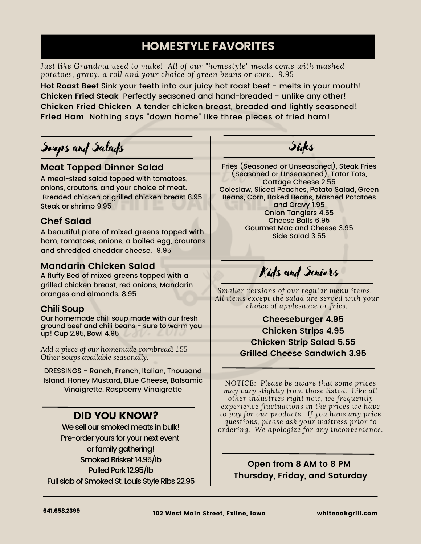# HOMESTYLE FAVORITES

*Just like Grandma used to make! All of our "homestyle" meals come with mashed potatoes, gravy, a roll and your choice of green beans or corn. 9.95*

**Hot Roast Beef** Sink your teeth into our juicy hot roast beef - melts in your mouth! **Chicken Fried Steak** Perfectly seasoned and hand-breaded - unlike any other! **Chicken Fried Chicken** A tender chicken breast, breaded and lightly seasoned! **Fried Ham** Nothing says "down home" like three pieces of fried ham!

Soups and Salads

### **Meat Topped Dinner Salad**

A meal-sized salad topped with tomatoes, onions, croutons, and your choice of meat. Breaded chicken or grilled chicken breast 8.95 Steak or shrimp 9.95

### **Chef Salad**

A beautiful plate of mixed greens topped with ham, tomatoes, onions, a boiled egg, croutons and shredded cheddar cheese. 9.95

### **Mandarin Chicken Salad**

A fluffy Bed of mixed greens topped with a grilled chicken breast, red onions, Mandarin oranges and almonds. 8.95

### **Chili Soup**

Our homemade chili soup made with our fresh ground beef and chili beans - sure to warm you up! Cup 2.95, Bowl 4.95

*Add a piece of our homemade cornbread! 1.55 Other soups available seasonally.*

DRESSINGS - Ranch, French, Italian, Thousand Island, Honey Mustard, Blue Cheese, Balsamic Vinaigrette, Raspberry Vinaigrette

## DID YOU KNOW?

We sell our smoked meats in bulk! Pre-order yours for your next event or family gathering! Smoked Brisket 14.95/lb Pulled Pork 12.95/lb Full slab of Smoked St. Louis Style Ribs 22.95

Sides

Fries (Seasoned or Unseasoned), Steak Fries (Seasoned or Unseasoned), Tator Tots, Cottage Cheese 2.55 Coleslaw, Sliced Peaches, Potato Salad, Green Beans, Corn, Baked Beans, Mashed Potatoes and Gravy 1.95 Onion Tanglers 4.55 Cheese Balls 6.95 Gourmet Mac and Cheese 3.95 Side Salad 3.55

Kids and Seniors

*Smaller versions of our regular menu items. All items except the salad are served with your choice of applesauce or fries.*

### **Cheeseburger 4.95 Chicken Strips 4.95 Chicken Strip Salad 5.55 Grilled Cheese Sandwich 3.95**

*NOTICE: Please be aware that some prices may vary slightly from those listed. Like all other industries right now, we frequently experience fluctuations in the prices we have to pay for our products. If you have any price questions, please ask your waitress prior to ordering. We apologize for any inconvenience.*

**Open from 8 AM to 8 PM Thursday, Friday, and Saturday**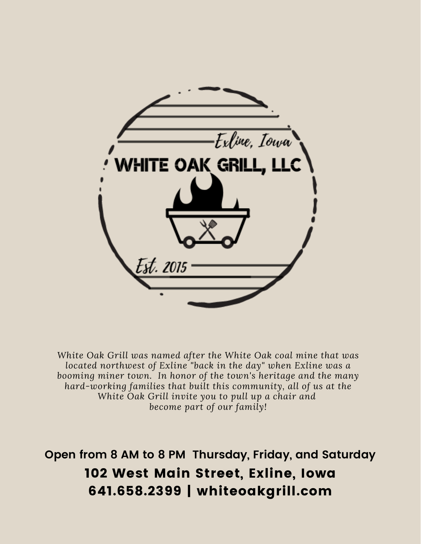

*White Oak Grill was named after the White Oak coal mine that was located northwest of Exline "back in the day" when Exline was a booming miner town. In honor of the town's heritage and the many hard-working families that built this community, all of us at the White Oak Grill invite you to pull up a chair and become part of our family!*

102 West Main Street, Exline, Iowa 641.658.2399 | whiteoakgrill.com **Open from 8 AM to 8 PM Thursday, Friday, and Saturday**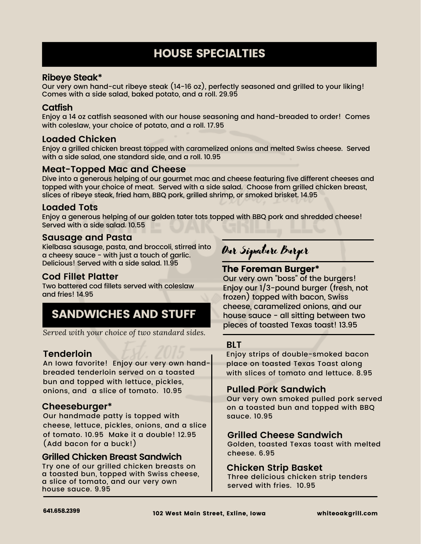# HOUSE SPECIALTIES

### **Ribeye Steak\***

Our very own hand-cut ribeye steak (14-16 oz), perfectly seasoned and grilled to your liking! Comes with a side salad, baked potato, and a roll. 29.95

### **Catfish**

Enjoy a 14 oz catfish seasoned with our house seasoning and hand-breaded to order! Comes with coleslaw, your choice of potato, and a roll. 17.95

### **Loaded Chicken**

Enjoy a grilled chicken breast topped with caramelized onions and melted Swiss cheese. Served with a side salad, one standard side, and a roll. 10.95

### **Meat-Topped Mac and Cheese**

Dive into a generous helping of our gourmet mac and cheese featuring five different cheeses and topped with your choice of meat. Served with a side salad. Choose from grilled chicken breast, slices of ribeye steak, fried ham, BBQ pork, grilled shrimp, or smoked brisket. 14.95

### **Loaded Tots**

Enjoy a generous helping of our golden tater tots topped with BBQ pork and shredded cheese! Served with a side salad. 10.55

### **Sausage and Pasta**

Kielbasa sausage, pasta, and broccoli, stirred into a cheesy sauce - with just a touch of garlic. Delicious! Served with a side salad. 11.95

### **Cod Fillet Platter**

Two battered cod fillets served with coleslaw and fries! 14.95

# SANDWICHES AND STUFF

*Served with your choice of two standard sides.*

### **Tenderloin**

An Iowa favorite! Enjoy our very own handbreaded tenderloin served on a toasted bun and topped with lettuce, pickles, onions, and a slice of tomato. 10.95

### **Cheeseburger\***

Our handmade patty is topped with cheese, lettuce, pickles, onions, and a slice of tomato. 10.95 Make it a double! 12.95 (Add bacon for a buck!)

### **Grilled Chicken Breast Sandwich**

Try one of our grilled chicken breasts on a toasted bun, topped with Swiss cheese, a slice of tomato, and our very own house sauce. 9.95

Our Signature Burger

### The Foreman Burger\*

Our very own "boss" of the burgers! Enjoy our 1/3-pound burger (fresh, not frozen) topped with bacon, Swiss cheese, caramelized onions, and our house sauce - all sitting between two pieces of toasted Texas toast! 13.95

### **BLT**

Enjoy strips of double-smoked bacon place on toasted Texas Toast along with slices of tomato and lettuce. 8.95

### **Pulled Pork Sandwich**

Our very own smoked pulled pork served on a toasted bun and topped with BBQ sauce. 10.95

### **Grilled Cheese Sandwich**

Golden, toasted Texas toast with melted cheese. 6.95

### **Chicken Strip Basket**

Three delicious chicken strip tenders served with fries. 10.95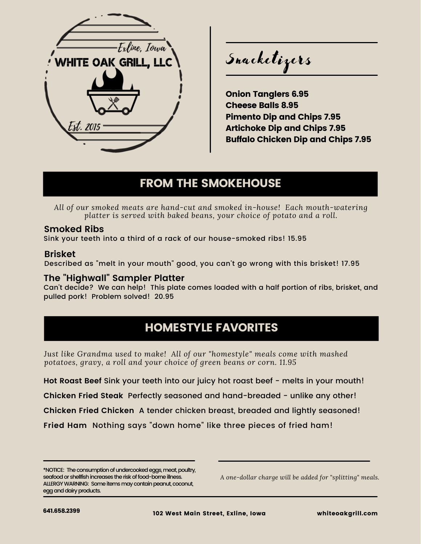

Snacketizers

Onion Tanglers 6.95 Cheese Balls 8.95 Pimento Dip and Chips 7.95 Artichoke Dip and Chips 7.95 Buffalo Chicken Dip and Chips 7.95

# FROM THE SMOKEHOUSE

*All of our smoked meats are hand-cut and smoked in-house! Each mouth-watering platter is served with baked beans, your choice of potato and a roll.*

### **Smoked Ribs**

Sink your teeth into a third of a rack of our house-smoked ribs! 15.95

### **Brisket**

Described as "melt in your mouth" good, you can't go wrong with this brisket! 17.95

### **The "Highwall" Sampler Platter**

Can't decide? We can help! This plate comes loaded with a half portion of ribs, brisket, and pulled pork! Problem solved! 20.95

# HOMESTYLE FAVORITES

*Just like Grandma used to make! All of our "homestyle" meals come with mashed potatoes, gravy, a roll and your choice of green beans or corn. 11.95*

**Hot Roast Beef** Sink your teeth into our juicy hot roast beef - melts in your mouth!

**Chicken Fried Steak** Perfectly seasoned and hand-breaded - unlike any other!

**Chicken Fried Chicken** A tender chicken breast, breaded and lightly seasoned!

**Fried Ham** Nothing says "down home" like three pieces of fried ham!

*A one-dollar charge will be added for "splitting" meals.*

<sup>\*</sup>NOTICE: The consumption of undercooked eggs, meat, poultry, seafood or shellfish increases the risk of food-borne illness. ALLERGY WARNING: Some items may contain peanut, coconut, egg and dairy products.